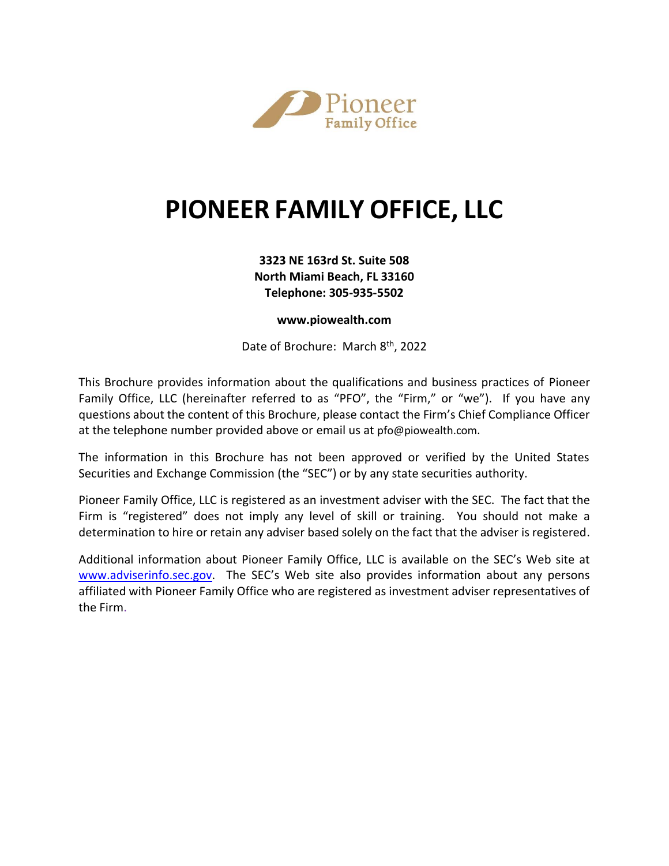

# **PIONEER FAMILY OFFICE, LLC**

# **3323 NE 163rd St. Suite 508 North Miami Beach, FL 33160 Telephone: 305-935-5502**

# **www.piowealth.com**

Date of Brochure: March 8th, 2022

This Brochure provides information about the qualifications and business practices of Pioneer Family Office, LLC (hereinafter referred to as "PFO", the "Firm," or "we"). If you have any questions about the content of this Brochure, please contact the Firm's Chief Compliance Officer at the telephone number provided above or email us at [pfo@piowealth.com](mailto:pfo@piowealth.com).

The information in this Brochure has not been approved or verified by the United States Securities and Exchange Commission (the "SEC") or by any state securities authority.

Pioneer Family Office, LLC is registered as an investment adviser with the SEC. The fact that the Firm is "registered" does not imply any level of skill or training. You should not make a determination to hire or retain any adviser based solely on the fact that the adviser is registered.

Additional information about Pioneer Family Office, LLC is available on the SEC's Web site at [www.adviserinfo.sec.gov.](http://www.adviserinfo.sec.gov/) The SEC's Web site also provides information about any persons affiliated with Pioneer Family Office who are registered as investment adviser representatives of the Firm.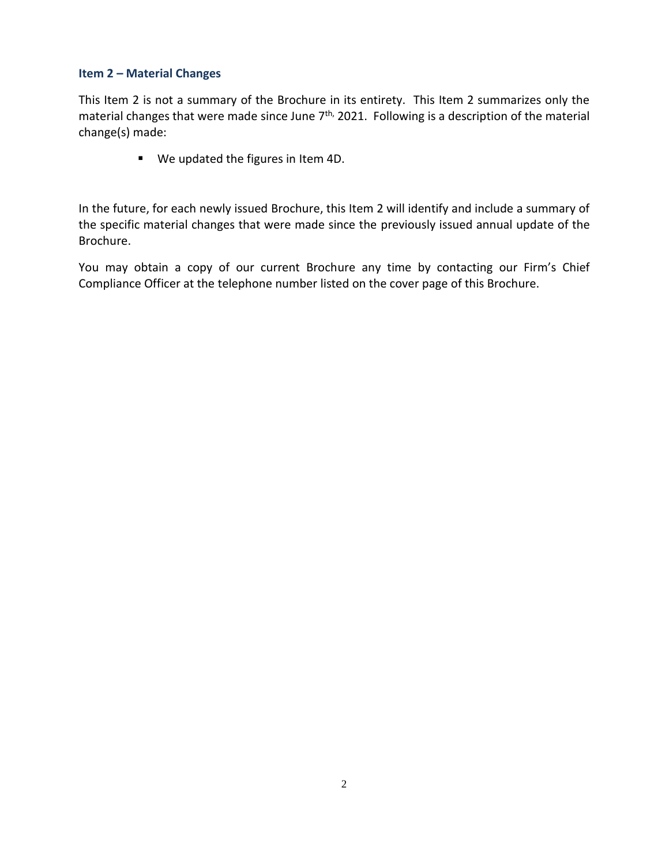# **Item 2 – Material Changes**

This Item 2 is not a summary of the Brochure in its entirety. This Item 2 summarizes only the material changes that were made since June 7<sup>th,</sup> 2021. Following is a description of the material change(s) made:

■ We updated the figures in Item 4D.

In the future, for each newly issued Brochure, this Item 2 will identify and include a summary of the specific material changes that were made since the previously issued annual update of the Brochure.

You may obtain a copy of our current Brochure any time by contacting our Firm's Chief Compliance Officer at the telephone number listed on the cover page of this Brochure.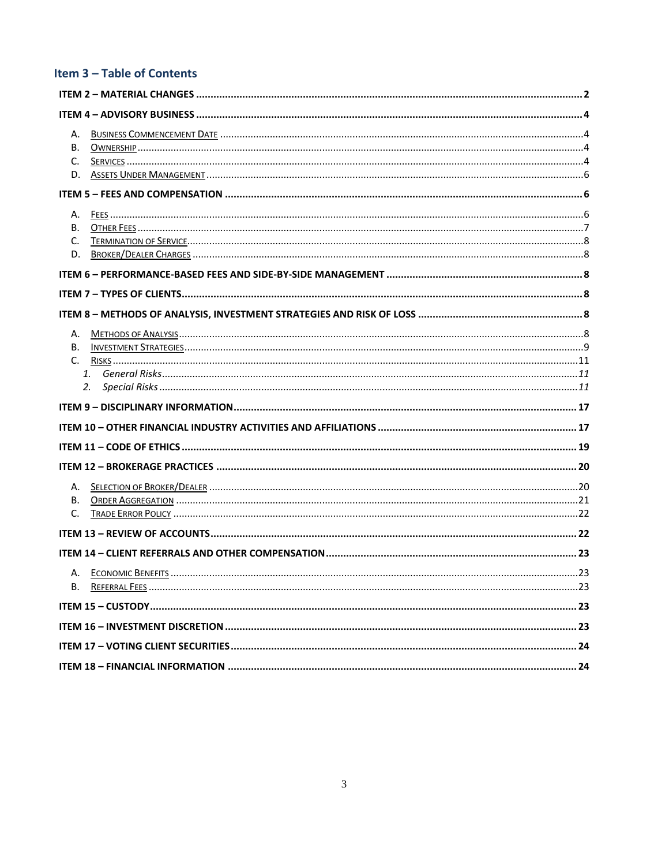# Item 3 - Table of Contents

| А.<br>В.<br>C.<br>D.      |  |
|---------------------------|--|
|                           |  |
| А.<br>C.<br>D.            |  |
|                           |  |
|                           |  |
|                           |  |
| А.<br>В.<br>$C_{1}$<br>2. |  |
|                           |  |
|                           |  |
|                           |  |
|                           |  |
| А.<br>В.<br>C.            |  |
|                           |  |
|                           |  |
|                           |  |
|                           |  |
|                           |  |
|                           |  |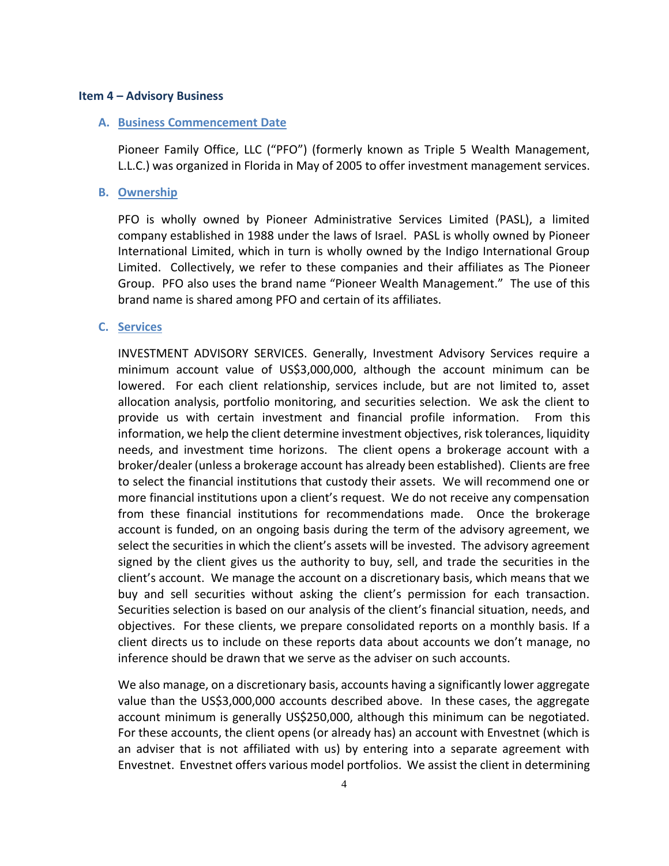#### **Item 4 – Advisory Business**

#### **A. Business Commencement Date**

Pioneer Family Office, LLC ("PFO") (formerly known as Triple 5 Wealth Management, L.L.C.) was organized in Florida in May of 2005 to offer investment management services.

## **B. Ownership**

PFO is wholly owned by Pioneer Administrative Services Limited (PASL), a limited company established in 1988 under the laws of Israel. PASL is wholly owned by Pioneer International Limited, which in turn is wholly owned by the Indigo International Group Limited. Collectively, we refer to these companies and their affiliates as The Pioneer Group. PFO also uses the brand name "Pioneer Wealth Management." The use of this brand name is shared among PFO and certain of its affiliates.

#### **C. Services**

INVESTMENT ADVISORY SERVICES. Generally, Investment Advisory Services require a minimum account value of US\$3,000,000, although the account minimum can be lowered. For each client relationship, services include, but are not limited to, asset allocation analysis, portfolio monitoring, and securities selection. We ask the client to provide us with certain investment and financial profile information. From this information, we help the client determine investment objectives, risk tolerances, liquidity needs, and investment time horizons. The client opens a brokerage account with a broker/dealer (unless a brokerage account has already been established). Clients are free to select the financial institutions that custody their assets. We will recommend one or more financial institutions upon a client's request. We do not receive any compensation from these financial institutions for recommendations made. Once the brokerage account is funded, on an ongoing basis during the term of the advisory agreement, we select the securities in which the client's assets will be invested. The advisory agreement signed by the client gives us the authority to buy, sell, and trade the securities in the client's account. We manage the account on a discretionary basis, which means that we buy and sell securities without asking the client's permission for each transaction. Securities selection is based on our analysis of the client's financial situation, needs, and objectives. For these clients, we prepare consolidated reports on a monthly basis. If a client directs us to include on these reports data about accounts we don't manage, no inference should be drawn that we serve as the adviser on such accounts.

We also manage, on a discretionary basis, accounts having a significantly lower aggregate value than the US\$3,000,000 accounts described above. In these cases, the aggregate account minimum is generally US\$250,000, although this minimum can be negotiated. For these accounts, the client opens (or already has) an account with Envestnet (which is an adviser that is not affiliated with us) by entering into a separate agreement with Envestnet. Envestnet offers various model portfolios. We assist the client in determining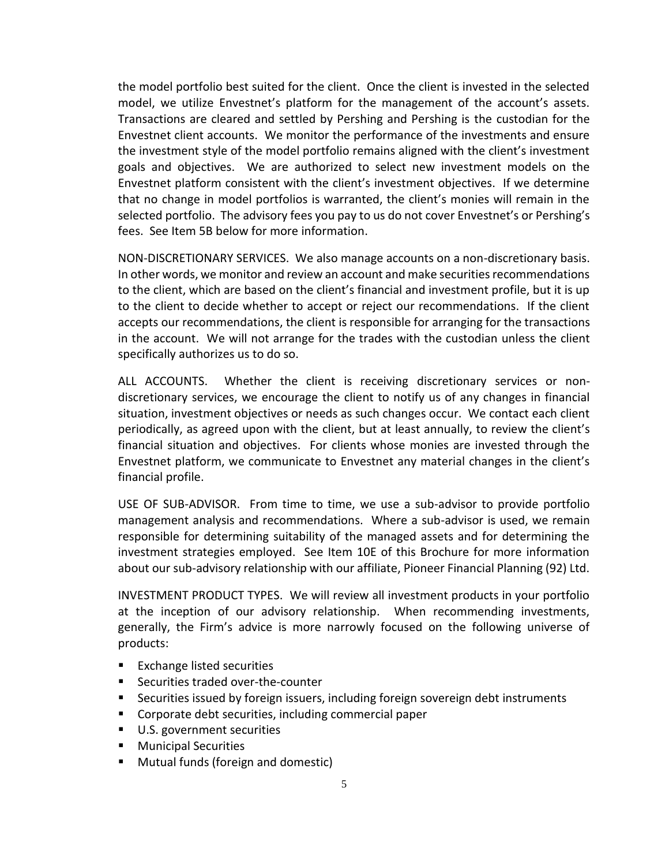the model portfolio best suited for the client. Once the client is invested in the selected model, we utilize Envestnet's platform for the management of the account's assets. Transactions are cleared and settled by Pershing and Pershing is the custodian for the Envestnet client accounts. We monitor the performance of the investments and ensure the investment style of the model portfolio remains aligned with the client's investment goals and objectives. We are authorized to select new investment models on the Envestnet platform consistent with the client's investment objectives. If we determine that no change in model portfolios is warranted, the client's monies will remain in the selected portfolio. The advisory fees you pay to us do not cover Envestnet's or Pershing's fees. See Item 5B below for more information.

NON-DISCRETIONARY SERVICES. We also manage accounts on a non-discretionary basis. In other words, we monitor and review an account and make securities recommendations to the client, which are based on the client's financial and investment profile, but it is up to the client to decide whether to accept or reject our recommendations. If the client accepts our recommendations, the client is responsible for arranging for the transactions in the account. We will not arrange for the trades with the custodian unless the client specifically authorizes us to do so.

ALL ACCOUNTS. Whether the client is receiving discretionary services or nondiscretionary services, we encourage the client to notify us of any changes in financial situation, investment objectives or needs as such changes occur. We contact each client periodically, as agreed upon with the client, but at least annually, to review the client's financial situation and objectives. For clients whose monies are invested through the Envestnet platform, we communicate to Envestnet any material changes in the client's financial profile.

USE OF SUB-ADVISOR. From time to time, we use a sub-advisor to provide portfolio management analysis and recommendations. Where a sub-advisor is used, we remain responsible for determining suitability of the managed assets and for determining the investment strategies employed. See Item 10E of this Brochure for more information about our sub-advisory relationship with our affiliate, Pioneer Financial Planning (92) Ltd.

INVESTMENT PRODUCT TYPES. We will review all investment products in your portfolio at the inception of our advisory relationship. When recommending investments, generally, the Firm's advice is more narrowly focused on the following universe of products:

- Exchange listed securities
- Securities traded over-the-counter
- Securities issued by foreign issuers, including foreign sovereign debt instruments
- Corporate debt securities, including commercial paper
- U.S. government securities
- Municipal Securities
- Mutual funds (foreign and domestic)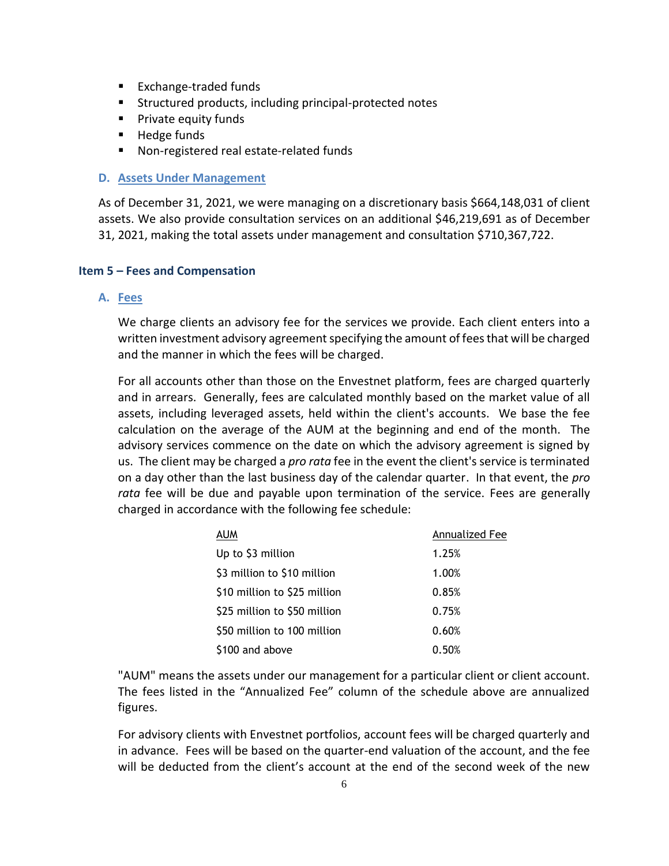- Exchange-traded funds
- **E** Structured products, including principal-protected notes
- Private equity funds
- Hedge funds
- Non-registered real estate-related funds

## **D. Assets Under Management**

As of December 31, 2021, we were managing on a discretionary basis \$664,148,031 of client assets. We also provide consultation services on an additional \$46,219,691 as of December 31, 2021, making the total assets under management and consultation \$710,367,722.

## **Item 5 – Fees and Compensation**

## **A. Fees**

We charge clients an advisory fee for the services we provide. Each client enters into a written investment advisory agreement specifying the amount of fees that will be charged and the manner in which the fees will be charged.

For all accounts other than those on the Envestnet platform, fees are charged quarterly and in arrears. Generally, fees are calculated monthly based on the market value of all assets, including leveraged assets, held within the client's accounts. We base the fee calculation on the average of the AUM at the beginning and end of the month. The advisory services commence on the date on which the advisory agreement is signed by us. The client may be charged a *pro rata* fee in the event the client's service is terminated on a day other than the last business day of the calendar quarter. In that event, the *pro rata* fee will be due and payable upon termination of the service. Fees are generally charged in accordance with the following fee schedule:

| AUM                          | Annualized Fee |
|------------------------------|----------------|
| Up to \$3 million            | 1.25%          |
| \$3 million to \$10 million  | 1.00%          |
| \$10 million to \$25 million | 0.85%          |
| \$25 million to \$50 million | 0.75%          |
| \$50 million to 100 million  | 0.60%          |
| \$100 and above              | 0.50%          |

"AUM" means the assets under our management for a particular client or client account. The fees listed in the "Annualized Fee" column of the schedule above are annualized figures.

For advisory clients with Envestnet portfolios, account fees will be charged quarterly and in advance. Fees will be based on the quarter-end valuation of the account, and the fee will be deducted from the client's account at the end of the second week of the new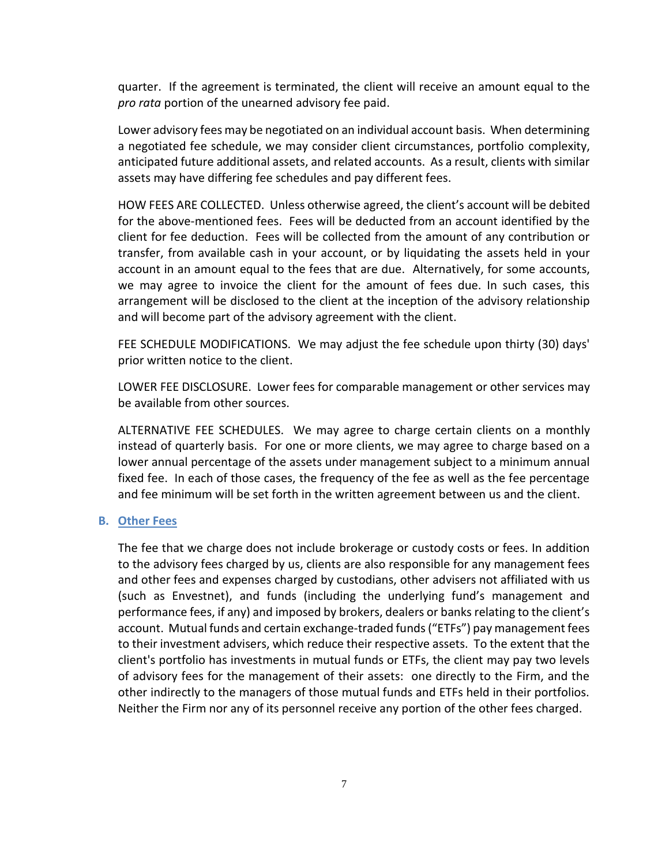quarter. If the agreement is terminated, the client will receive an amount equal to the *pro rata* portion of the unearned advisory fee paid.

Lower advisory fees may be negotiated on an individual account basis. When determining a negotiated fee schedule, we may consider client circumstances, portfolio complexity, anticipated future additional assets, and related accounts. As a result, clients with similar assets may have differing fee schedules and pay different fees.

HOW FEES ARE COLLECTED. Unless otherwise agreed, the client's account will be debited for the above-mentioned fees. Fees will be deducted from an account identified by the client for fee deduction. Fees will be collected from the amount of any contribution or transfer, from available cash in your account, or by liquidating the assets held in your account in an amount equal to the fees that are due. Alternatively, for some accounts, we may agree to invoice the client for the amount of fees due. In such cases, this arrangement will be disclosed to the client at the inception of the advisory relationship and will become part of the advisory agreement with the client.

FEE SCHEDULE MODIFICATIONS. We may adjust the fee schedule upon thirty (30) days' prior written notice to the client.

LOWER FEE DISCLOSURE. Lower fees for comparable management or other services may be available from other sources.

ALTERNATIVE FEE SCHEDULES. We may agree to charge certain clients on a monthly instead of quarterly basis. For one or more clients, we may agree to charge based on a lower annual percentage of the assets under management subject to a minimum annual fixed fee. In each of those cases, the frequency of the fee as well as the fee percentage and fee minimum will be set forth in the written agreement between us and the client.

#### **B. Other Fees**

The fee that we charge does not include brokerage or custody costs or fees. In addition to the advisory fees charged by us, clients are also responsible for any management fees and other fees and expenses charged by custodians, other advisers not affiliated with us (such as Envestnet), and funds (including the underlying fund's management and performance fees, if any) and imposed by brokers, dealers or banks relating to the client's account. Mutual funds and certain exchange-traded funds ("ETFs") pay management fees to their investment advisers, which reduce their respective assets. To the extent that the client's portfolio has investments in mutual funds or ETFs, the client may pay two levels of advisory fees for the management of their assets: one directly to the Firm, and the other indirectly to the managers of those mutual funds and ETFs held in their portfolios. Neither the Firm nor any of its personnel receive any portion of the other fees charged.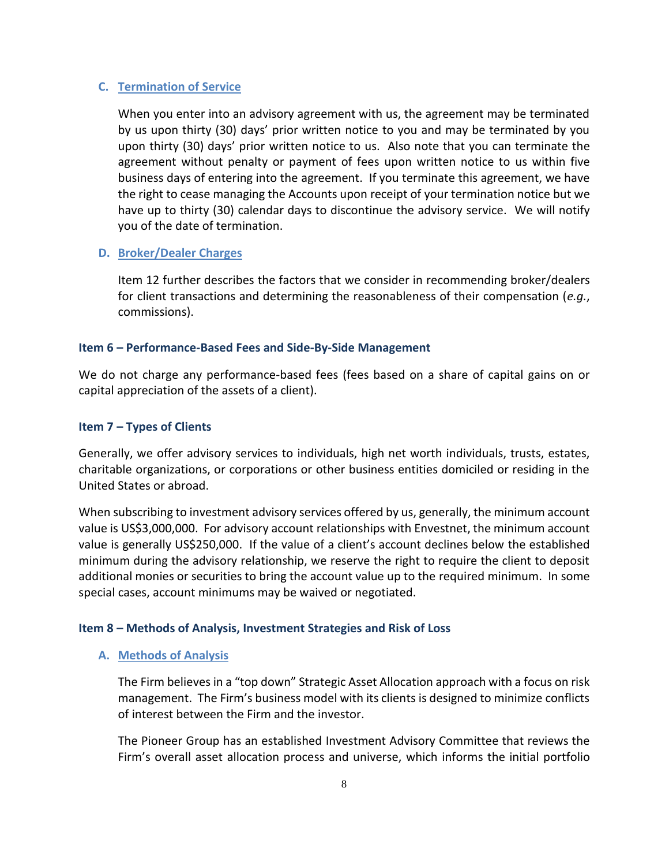## **C. Termination of Service**

When you enter into an advisory agreement with us, the agreement may be terminated by us upon thirty (30) days' prior written notice to you and may be terminated by you upon thirty (30) days' prior written notice to us. Also note that you can terminate the agreement without penalty or payment of fees upon written notice to us within five business days of entering into the agreement. If you terminate this agreement, we have the right to cease managing the Accounts upon receipt of your termination notice but we have up to thirty (30) calendar days to discontinue the advisory service. We will notify you of the date of termination.

# **D. Broker/Dealer Charges**

Item 12 further describes the factors that we consider in recommending broker/dealers for client transactions and determining the reasonableness of their compensation (*e.g.*, commissions).

# **Item 6 – Performance-Based Fees and Side-By-Side Management**

We do not charge any performance-based fees (fees based on a share of capital gains on or capital appreciation of the assets of a client).

# **Item 7 – Types of Clients**

Generally, we offer advisory services to individuals, high net worth individuals, trusts, estates, charitable organizations, or corporations or other business entities domiciled or residing in the United States or abroad.

When subscribing to investment advisory services offered by us, generally, the minimum account value is US\$3,000,000. For advisory account relationships with Envestnet, the minimum account value is generally US\$250,000. If the value of a client's account declines below the established minimum during the advisory relationship, we reserve the right to require the client to deposit additional monies or securities to bring the account value up to the required minimum. In some special cases, account minimums may be waived or negotiated.

# **Item 8 – Methods of Analysis, Investment Strategies and Risk of Loss**

## **A. Methods of Analysis**

The Firm believes in a "top down" Strategic Asset Allocation approach with a focus on risk management. The Firm's business model with its clients is designed to minimize conflicts of interest between the Firm and the investor.

The Pioneer Group has an established Investment Advisory Committee that reviews the Firm's overall asset allocation process and universe, which informs the initial portfolio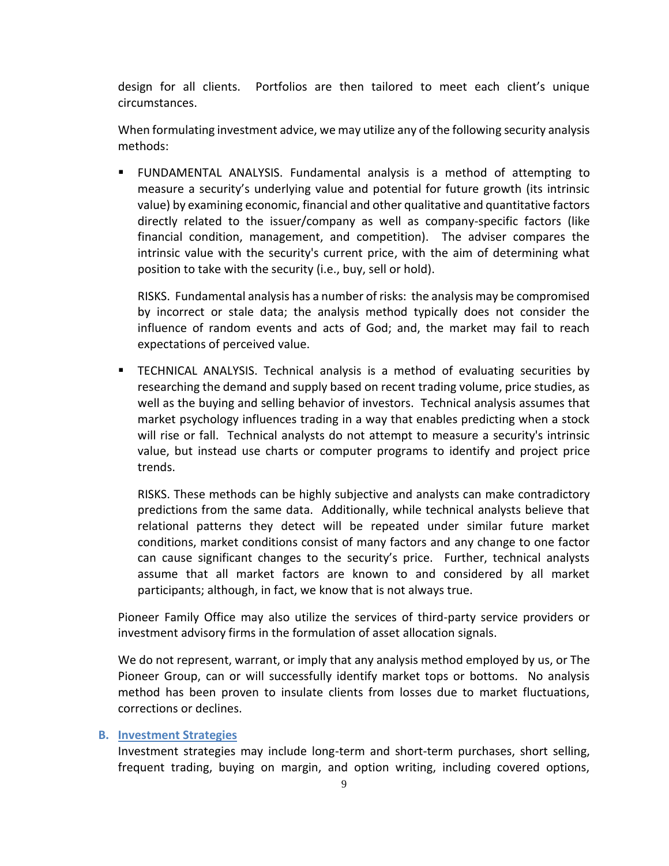design for all clients. Portfolios are then tailored to meet each client's unique circumstances.

When formulating investment advice, we may utilize any of the following security analysis methods:

▪ FUNDAMENTAL ANALYSIS. Fundamental analysis is a method of attempting to measure a security's underlying value and potential for future growth (its intrinsic value) by examining economic, financial and other qualitative and quantitative factors directly related to the issuer/company as well as company-specific factors (like financial condition, management, and competition). The adviser compares the intrinsic value with the security's current price, with the aim of determining what position to take with the security (i.e., buy, sell or hold).

RISKS. Fundamental analysis has a number of risks: the analysis may be compromised by incorrect or stale data; the analysis method typically does not consider the influence of random events and acts of God; and, the market may fail to reach expectations of perceived value.

▪ TECHNICAL ANALYSIS. Technical analysis is a method of evaluating securities by researching the demand and supply based on recent trading volume, price studies, as well as the buying and selling behavior of investors. Technical analysis assumes that market psychology influences trading in a way that enables predicting when a stock will rise or fall. Technical analysts do not attempt to measure a security's intrinsic value, but instead use charts or computer programs to identify and project price trends.

RISKS. These methods can be highly subjective and analysts can make contradictory predictions from the same data. Additionally, while technical analysts believe that relational patterns they detect will be repeated under similar future market conditions, market conditions consist of many factors and any change to one factor can cause significant changes to the security's price. Further, technical analysts assume that all market factors are known to and considered by all market participants; although, in fact, we know that is not always true.

Pioneer Family Office may also utilize the services of third-party service providers or investment advisory firms in the formulation of asset allocation signals.

We do not represent, warrant, or imply that any analysis method employed by us, or The Pioneer Group, can or will successfully identify market tops or bottoms. No analysis method has been proven to insulate clients from losses due to market fluctuations, corrections or declines.

# **B. Investment Strategies**

Investment strategies may include long-term and short-term purchases, short selling, frequent trading, buying on margin, and option writing, including covered options,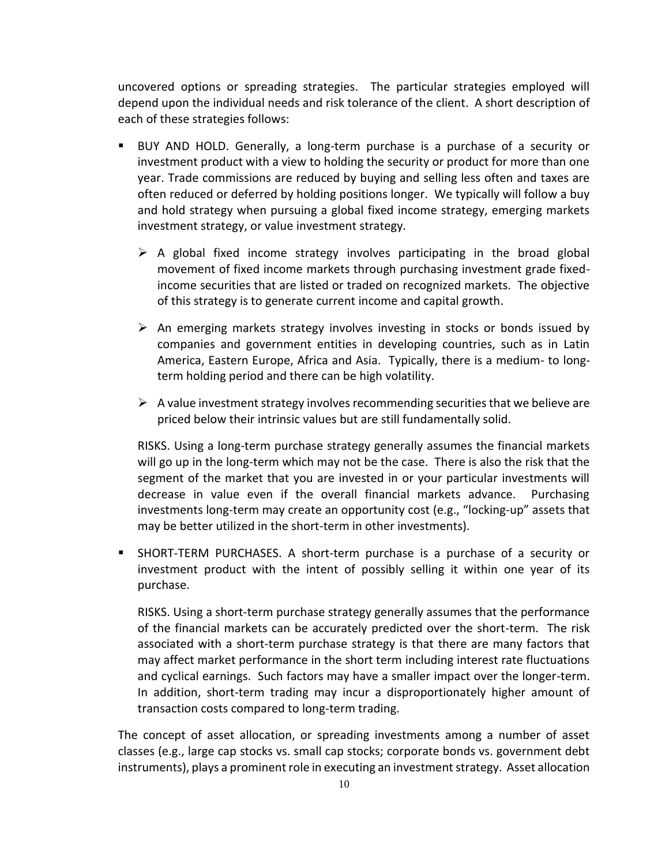uncovered options or spreading strategies. The particular strategies employed will depend upon the individual needs and risk tolerance of the client. A short description of each of these strategies follows:

- BUY AND HOLD. Generally, a long-term purchase is a purchase of a security or investment product with a view to holding the security or product for more than one year. Trade commissions are reduced by buying and selling less often and taxes are often reduced or deferred by holding positions longer. We typically will follow a buy and hold strategy when pursuing a global fixed income strategy, emerging markets investment strategy, or value investment strategy.
	- $\triangleright$  A global fixed income strategy involves participating in the broad global movement of fixed income markets through purchasing investment grade fixedincome securities that are listed or traded on recognized markets. The objective of this strategy is to generate current income and capital growth.
	- ➢ An emerging markets strategy involves investing in stocks or bonds issued by companies and government entities in developing countries, such as in Latin America, Eastern Europe, Africa and Asia. Typically, there is a medium- to longterm holding period and there can be high volatility.
	- $\triangleright$  A value investment strategy involves recommending securities that we believe are priced below their intrinsic values but are still fundamentally solid.

RISKS. Using a long-term purchase strategy generally assumes the financial markets will go up in the long-term which may not be the case. There is also the risk that the segment of the market that you are invested in or your particular investments will decrease in value even if the overall financial markets advance. Purchasing investments long-term may create an opportunity cost (e.g., "locking-up" assets that may be better utilized in the short-term in other investments).

SHORT-TERM PURCHASES. A short-term purchase is a purchase of a security or investment product with the intent of possibly selling it within one year of its purchase.

RISKS. Using a short-term purchase strategy generally assumes that the performance of the financial markets can be accurately predicted over the short-term. The risk associated with a short-term purchase strategy is that there are many factors that may affect market performance in the short term including interest rate fluctuations and cyclical earnings. Such factors may have a smaller impact over the longer-term. In addition, short-term trading may incur a disproportionately higher amount of transaction costs compared to long-term trading.

The concept of asset allocation, or spreading investments among a number of asset classes (e.g., large cap stocks vs. small cap stocks; corporate bonds vs. government debt instruments), plays a prominent role in executing an investment strategy. Asset allocation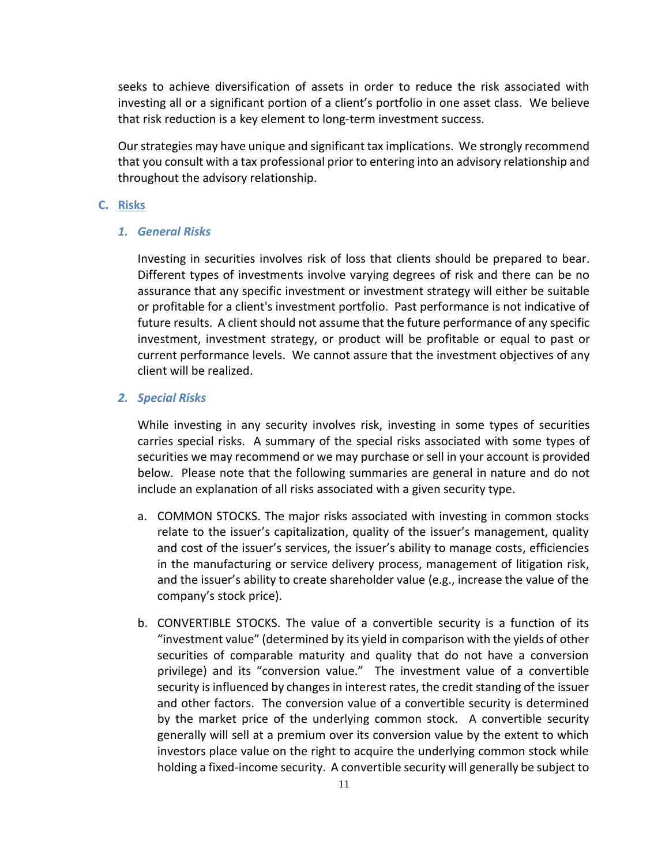seeks to achieve diversification of assets in order to reduce the risk associated with investing all or a significant portion of a client's portfolio in one asset class. We believe that risk reduction is a key element to long-term investment success.

Our strategies may have unique and significant tax implications. We strongly recommend that you consult with a tax professional prior to entering into an advisory relationship and throughout the advisory relationship.

#### **C. Risks**

#### *1. General Risks*

Investing in securities involves risk of loss that clients should be prepared to bear. Different types of investments involve varying degrees of risk and there can be no assurance that any specific investment or investment strategy will either be suitable or profitable for a client's investment portfolio. Past performance is not indicative of future results. A client should not assume that the future performance of any specific investment, investment strategy, or product will be profitable or equal to past or current performance levels. We cannot assure that the investment objectives of any client will be realized.

## *2. Special Risks*

While investing in any security involves risk, investing in some types of securities carries special risks. A summary of the special risks associated with some types of securities we may recommend or we may purchase or sell in your account is provided below. Please note that the following summaries are general in nature and do not include an explanation of all risks associated with a given security type.

- a. COMMON STOCKS. The major risks associated with investing in common stocks relate to the issuer's capitalization, quality of the issuer's management, quality and cost of the issuer's services, the issuer's ability to manage costs, efficiencies in the manufacturing or service delivery process, management of litigation risk, and the issuer's ability to create shareholder value (e.g., increase the value of the company's stock price).
- b. CONVERTIBLE STOCKS. The value of a convertible security is a function of its "investment value" (determined by its yield in comparison with the yields of other securities of comparable maturity and quality that do not have a conversion privilege) and its "conversion value." The investment value of a convertible security is influenced by changes in interest rates, the credit standing of the issuer and other factors. The conversion value of a convertible security is determined by the market price of the underlying common stock. A convertible security generally will sell at a premium over its conversion value by the extent to which investors place value on the right to acquire the underlying common stock while holding a fixed-income security. A convertible security will generally be subject to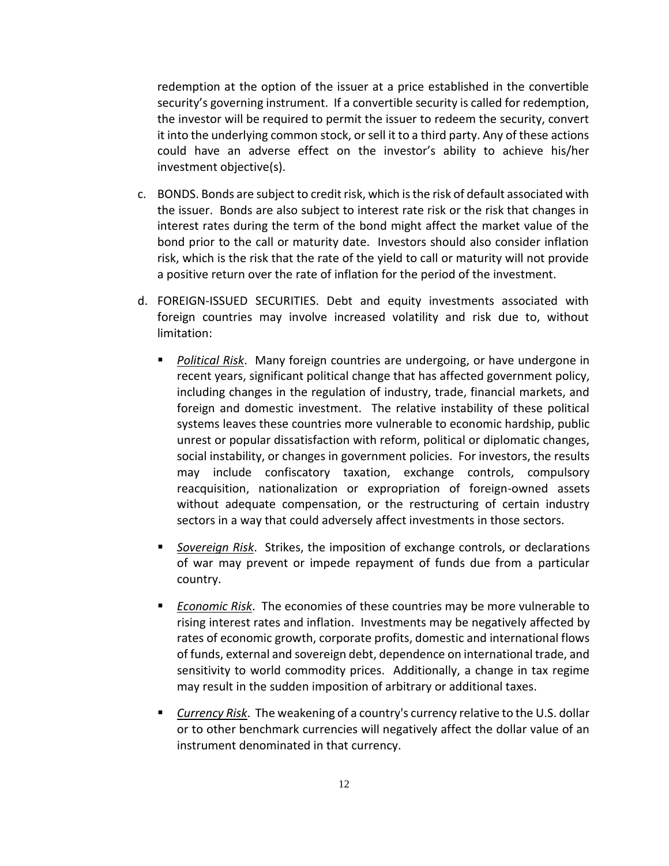redemption at the option of the issuer at a price established in the convertible security's governing instrument. If a convertible security is called for redemption, the investor will be required to permit the issuer to redeem the security, convert it into the underlying common stock, or sell it to a third party. Any of these actions could have an adverse effect on the investor's ability to achieve his/her investment objective(s).

- c. BONDS. Bonds are subject to credit risk, which is the risk of default associated with the issuer. Bonds are also subject to interest rate risk or the risk that changes in interest rates during the term of the bond might affect the market value of the bond prior to the call or maturity date. Investors should also consider inflation risk, which is the risk that the rate of the yield to call or maturity will not provide a positive return over the rate of inflation for the period of the investment.
- d. FOREIGN-ISSUED SECURITIES. Debt and equity investments associated with foreign countries may involve increased volatility and risk due to, without limitation:
	- Political Risk. Many foreign countries are undergoing, or have undergone in recent years, significant political change that has affected government policy, including changes in the regulation of industry, trade, financial markets, and foreign and domestic investment. The relative instability of these political systems leaves these countries more vulnerable to economic hardship, public unrest or popular dissatisfaction with reform, political or diplomatic changes, social instability, or changes in government policies. For investors, the results may include confiscatory taxation, exchange controls, compulsory reacquisition, nationalization or expropriation of foreign-owned assets without adequate compensation, or the restructuring of certain industry sectors in a way that could adversely affect investments in those sectors.
	- Sovereign Risk. Strikes, the imposition of exchange controls, or declarations of war may prevent or impede repayment of funds due from a particular country.
	- *Economic Risk*. The economies of these countries may be more vulnerable to rising interest rates and inflation. Investments may be negatively affected by rates of economic growth, corporate profits, domestic and international flows of funds, external and sovereign debt, dependence on international trade, and sensitivity to world commodity prices. Additionally, a change in tax regime may result in the sudden imposition of arbitrary or additional taxes.
	- **Currency Risk.** The weakening of a country's currency relative to the U.S. dollar or to other benchmark currencies will negatively affect the dollar value of an instrument denominated in that currency.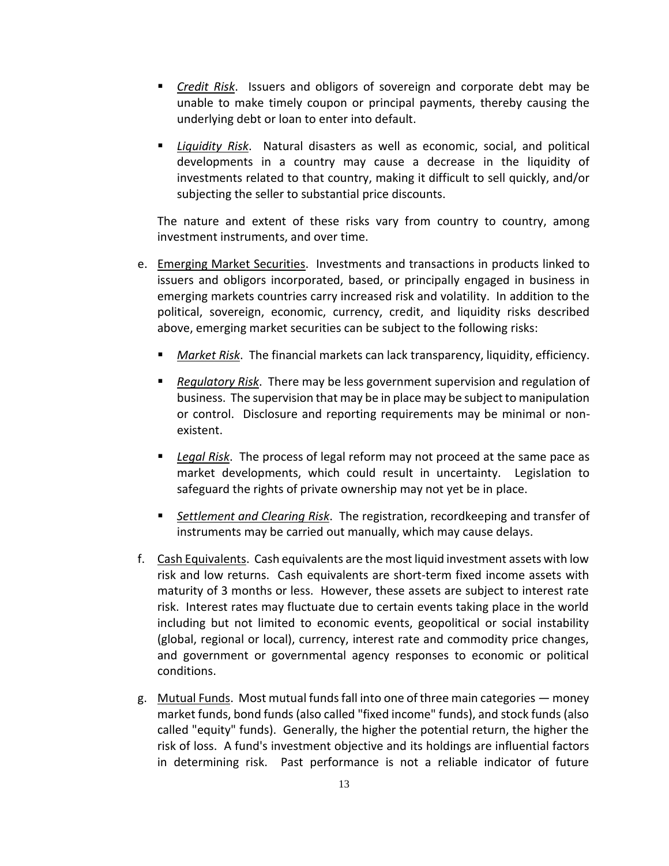- *Credit Risk*. Issuers and obligors of sovereign and corporate debt may be unable to make timely coupon or principal payments, thereby causing the underlying debt or loan to enter into default.
- *Liquidity Risk*. Natural disasters as well as economic, social, and political developments in a country may cause a decrease in the liquidity of investments related to that country, making it difficult to sell quickly, and/or subjecting the seller to substantial price discounts.

The nature and extent of these risks vary from country to country, among investment instruments, and over time.

- e. Emerging Market Securities. Investments and transactions in products linked to issuers and obligors incorporated, based, or principally engaged in business in emerging markets countries carry increased risk and volatility. In addition to the political, sovereign, economic, currency, credit, and liquidity risks described above, emerging market securities can be subject to the following risks:
	- Market Risk. The financial markets can lack transparency, liquidity, efficiency.
	- *Regulatory Risk*. There may be less government supervision and regulation of business. The supervision that may be in place may be subject to manipulation or control. Disclosure and reporting requirements may be minimal or nonexistent.
	- *Legal Risk*. The process of legal reform may not proceed at the same pace as market developments, which could result in uncertainty. Legislation to safeguard the rights of private ownership may not yet be in place.
	- Settlement and Clearing Risk. The registration, recordkeeping and transfer of instruments may be carried out manually, which may cause delays.
- f. Cash Equivalents. Cash equivalents are the most liquid investment assets with low risk and low returns. Cash equivalents are short-term fixed income assets with maturity of 3 months or less. However, these assets are subject to interest rate risk. Interest rates may fluctuate due to certain events taking place in the world including but not limited to economic events, geopolitical or social instability (global, regional or local), currency, interest rate and commodity price changes, and government or governmental agency responses to economic or political conditions.
- g. Mutual Funds. Most mutual funds fall into one of three main categories money market funds, bond funds (also called "fixed income" funds), and stock funds (also called "equity" funds). Generally, the higher the potential return, the higher the risk of loss. A fund's investment objective and its holdings are influential factors in determining risk. Past performance is not a reliable indicator of future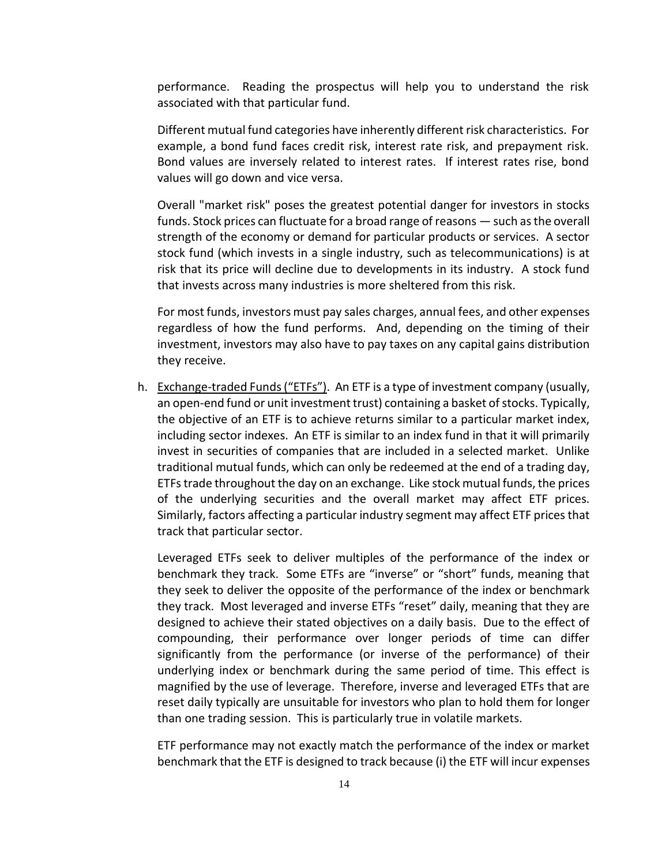performance. Reading the prospectus will help you to understand the risk associated with that particular fund.

Different mutual fund categories have inherently different risk characteristics. For example, a bond fund faces credit risk, interest rate risk, and prepayment risk. Bond values are inversely related to interest rates. If interest rates rise, bond values will go down and vice versa.

Overall "market risk" poses the greatest potential danger for investors in stocks funds. Stock prices can fluctuate for a broad range of reasons — such as the overall strength of the economy or demand for particular products or services. A sector stock fund (which invests in a single industry, such as telecommunications) is at risk that its price will decline due to developments in its industry. A stock fund that invests across many industries is more sheltered from this risk.

For most funds, investors must pay sales charges, annual fees, and other expenses regardless of how the fund performs. And, depending on the timing of their investment, investors may also have to pay taxes on any capital gains distribution they receive.

h. Exchange-traded Funds ("ETFs"). An ETF is a type of investment company (usually, an open-end fund or unit investment trust) containing a basket of stocks. Typically, the objective of an ETF is to achieve returns similar to a particular market index, including sector indexes. An ETF is similar to an index fund in that it will primarily invest in securities of companies that are included in a selected market. Unlike traditional mutual funds, which can only be redeemed at the end of a trading day, ETFs trade throughout the day on an exchange. Like stock mutual funds, the prices of the underlying securities and the overall market may affect ETF prices. Similarly, factors affecting a particular industry segment may affect ETF prices that track that particular sector.

Leveraged ETFs seek to deliver multiples of the performance of the index or benchmark they track. Some ETFs are "inverse" or "short" funds, meaning that they seek to deliver the opposite of the performance of the index or benchmark they track. Most leveraged and inverse ETFs "reset" daily, meaning that they are designed to achieve their stated objectives on a daily basis. Due to the effect of compounding, their performance over longer periods of time can differ significantly from the performance (or inverse of the performance) of their underlying index or benchmark during the same period of time. This effect is magnified by the use of leverage. Therefore, inverse and leveraged ETFs that are reset daily typically are unsuitable for investors who plan to hold them for longer than one trading session. This is particularly true in volatile markets.

ETF performance may not exactly match the performance of the index or market benchmark that the ETF is designed to track because (i) the ETF will incur expenses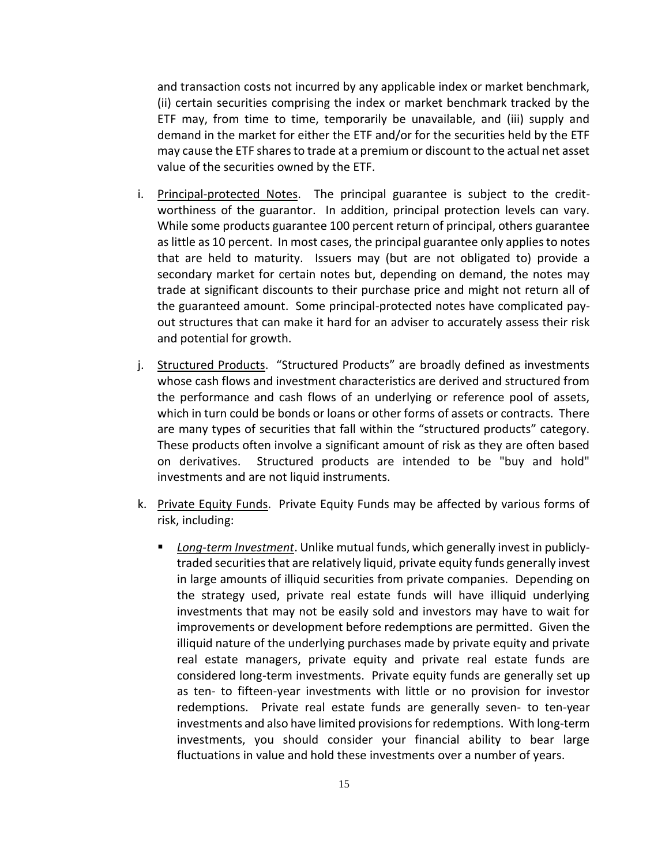and transaction costs not incurred by any applicable index or market benchmark, (ii) certain securities comprising the index or market benchmark tracked by the ETF may, from time to time, temporarily be unavailable, and (iii) supply and demand in the market for either the ETF and/or for the securities held by the ETF may cause the ETF shares to trade at a premium or discount to the actual net asset value of the securities owned by the ETF.

- i. Principal-protected Notes. The principal guarantee is subject to the creditworthiness of the guarantor. In addition, principal protection levels can vary. While some products guarantee 100 percent return of principal, others guarantee as little as 10 percent. In most cases, the principal guarantee only applies to notes that are held to maturity. Issuers may (but are not obligated to) provide a secondary market for certain notes but, depending on demand, the notes may trade at significant discounts to their purchase price and might not return all of the guaranteed amount. Some principal-protected notes have complicated payout structures that can make it hard for an adviser to accurately assess their risk and potential for growth.
- j. Structured Products. "Structured Products" are broadly defined as investments whose cash flows and investment characteristics are derived and structured from the performance and cash flows of an underlying or reference pool of assets, which in turn could be bonds or loans or other forms of assets or contracts. There are many types of securities that fall within the "structured products" category. These products often involve a significant amount of risk as they are often based on derivatives. Structured products are intended to be "buy and hold" investments and are not liquid instruments.
- k. Private Equity Funds. Private Equity Funds may be affected by various forms of risk, including:
	- *Long-term Investment*. Unlike mutual funds, which generally invest in publiclytraded securities that are relatively liquid, private equity funds generally invest in large amounts of illiquid securities from private companies. Depending on the strategy used, private real estate funds will have illiquid underlying investments that may not be easily sold and investors may have to wait for improvements or development before redemptions are permitted. Given the illiquid nature of the underlying purchases made by private equity and private real estate managers, private equity and private real estate funds are considered long-term investments. Private equity funds are generally set up as ten- to fifteen-year investments with little or no provision for investor redemptions. Private real estate funds are generally seven- to ten-year investments and also have limited provisions for redemptions. With long-term investments, you should consider your financial ability to bear large fluctuations in value and hold these investments over a number of years.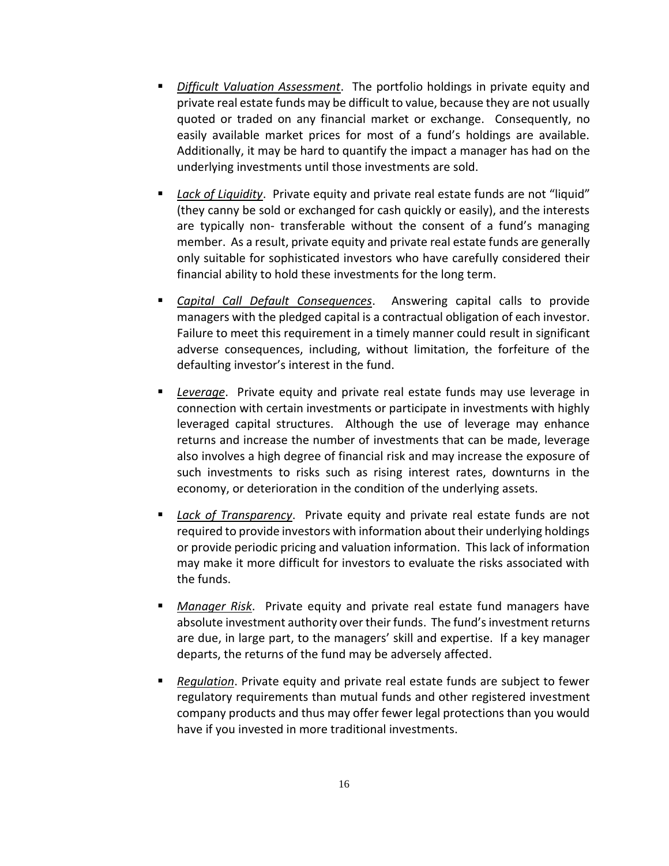- *Difficult Valuation Assessment*. The portfolio holdings in private equity and private real estate funds may be difficult to value, because they are not usually quoted or traded on any financial market or exchange. Consequently, no easily available market prices for most of a fund's holdings are available. Additionally, it may be hard to quantify the impact a manager has had on the underlying investments until those investments are sold.
- *Lack of Liquidity*. Private equity and private real estate funds are not "liquid" (they canny be sold or exchanged for cash quickly or easily), and the interests are typically non- transferable without the consent of a fund's managing member. As a result, private equity and private real estate funds are generally only suitable for sophisticated investors who have carefully considered their financial ability to hold these investments for the long term.
- *Capital Call Default Consequences*. Answering capital calls to provide managers with the pledged capital is a contractual obligation of each investor. Failure to meet this requirement in a timely manner could result in significant adverse consequences, including, without limitation, the forfeiture of the defaulting investor's interest in the fund.
- Leverage. Private equity and private real estate funds may use leverage in connection with certain investments or participate in investments with highly leveraged capital structures. Although the use of leverage may enhance returns and increase the number of investments that can be made, leverage also involves a high degree of financial risk and may increase the exposure of such investments to risks such as rising interest rates, downturns in the economy, or deterioration in the condition of the underlying assets.
- *Lack of Transparency*. Private equity and private real estate funds are not required to provide investors with information about their underlying holdings or provide periodic pricing and valuation information. This lack of information may make it more difficult for investors to evaluate the risks associated with the funds.
- *Manager Risk.* Private equity and private real estate fund managers have absolute investment authority over their funds. The fund's investment returns are due, in large part, to the managers' skill and expertise. If a key manager departs, the returns of the fund may be adversely affected.
- Regulation. Private equity and private real estate funds are subject to fewer regulatory requirements than mutual funds and other registered investment company products and thus may offer fewer legal protections than you would have if you invested in more traditional investments.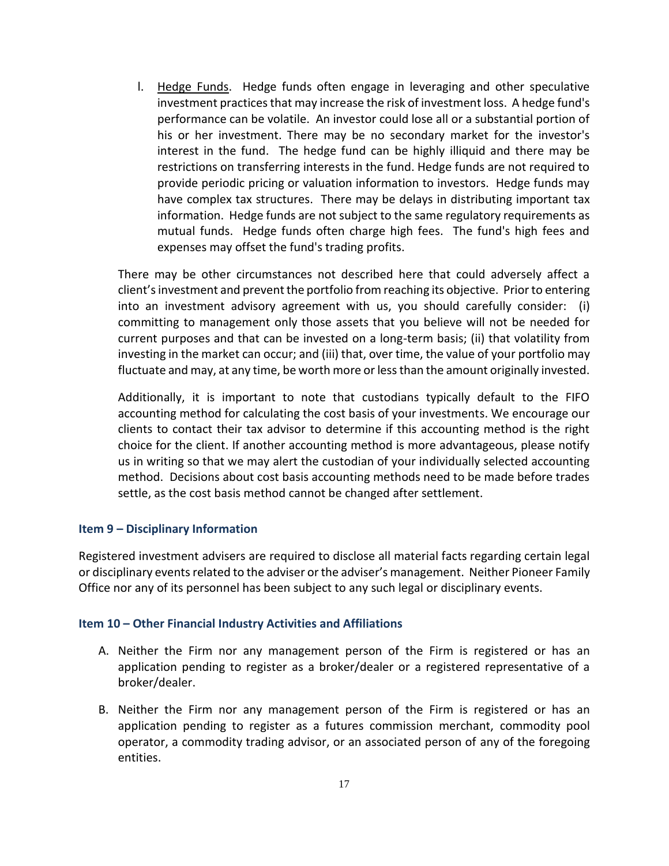l. Hedge Funds. Hedge funds often engage in leveraging and other speculative investment practices that may increase the risk of investment loss. A hedge fund's performance can be volatile. An investor could lose all or a substantial portion of his or her investment. There may be no secondary market for the investor's interest in the fund. The hedge fund can be highly illiquid and there may be restrictions on transferring interests in the fund. Hedge funds are not required to provide periodic pricing or valuation information to investors. Hedge funds may have complex tax structures. There may be delays in distributing important tax information. Hedge funds are not subject to the same regulatory requirements as mutual funds. Hedge funds often charge high fees. The fund's high fees and expenses may offset the fund's trading profits.

There may be other circumstances not described here that could adversely affect a client's investment and prevent the portfolio from reaching its objective. Prior to entering into an investment advisory agreement with us, you should carefully consider: (i) committing to management only those assets that you believe will not be needed for current purposes and that can be invested on a long-term basis; (ii) that volatility from investing in the market can occur; and (iii) that, over time, the value of your portfolio may fluctuate and may, at any time, be worth more or less than the amount originally invested.

Additionally, it is important to note that custodians typically default to the FIFO accounting method for calculating the cost basis of your investments. We encourage our clients to contact their tax advisor to determine if this accounting method is the right choice for the client. If another accounting method is more advantageous, please notify us in writing so that we may alert the custodian of your individually selected accounting method. Decisions about cost basis accounting methods need to be made before trades settle, as the cost basis method cannot be changed after settlement.

## **Item 9 – Disciplinary Information**

Registered investment advisers are required to disclose all material facts regarding certain legal or disciplinary events related to the adviser or the adviser's management. Neither Pioneer Family Office nor any of its personnel has been subject to any such legal or disciplinary events.

#### **Item 10 – Other Financial Industry Activities and Affiliations**

- A. Neither the Firm nor any management person of the Firm is registered or has an application pending to register as a broker/dealer or a registered representative of a broker/dealer.
- B. Neither the Firm nor any management person of the Firm is registered or has an application pending to register as a futures commission merchant, commodity pool operator, a commodity trading advisor, or an associated person of any of the foregoing entities.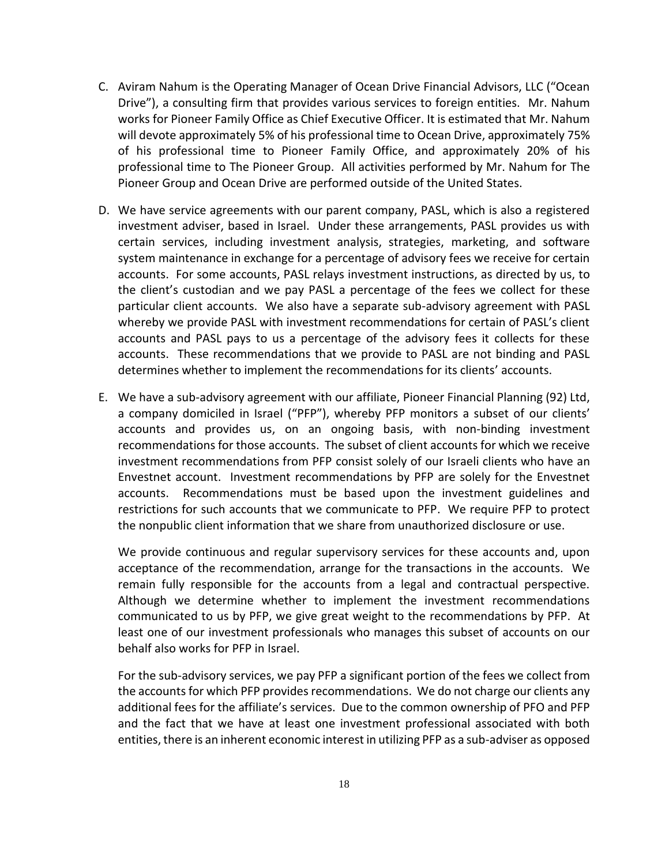- C. Aviram Nahum is the Operating Manager of Ocean Drive Financial Advisors, LLC ("Ocean Drive"), a consulting firm that provides various services to foreign entities. Mr. Nahum works for Pioneer Family Office as Chief Executive Officer. It is estimated that Mr. Nahum will devote approximately 5% of his professional time to Ocean Drive, approximately 75% of his professional time to Pioneer Family Office, and approximately 20% of his professional time to The Pioneer Group. All activities performed by Mr. Nahum for The Pioneer Group and Ocean Drive are performed outside of the United States.
- D. We have service agreements with our parent company, PASL, which is also a registered investment adviser, based in Israel. Under these arrangements, PASL provides us with certain services, including investment analysis, strategies, marketing, and software system maintenance in exchange for a percentage of advisory fees we receive for certain accounts. For some accounts, PASL relays investment instructions, as directed by us, to the client's custodian and we pay PASL a percentage of the fees we collect for these particular client accounts. We also have a separate sub-advisory agreement with PASL whereby we provide PASL with investment recommendations for certain of PASL's client accounts and PASL pays to us a percentage of the advisory fees it collects for these accounts. These recommendations that we provide to PASL are not binding and PASL determines whether to implement the recommendations for its clients' accounts.
- E. We have a sub-advisory agreement with our affiliate, Pioneer Financial Planning (92) Ltd, a company domiciled in Israel ("PFP"), whereby PFP monitors a subset of our clients' accounts and provides us, on an ongoing basis, with non-binding investment recommendations for those accounts. The subset of client accounts for which we receive investment recommendations from PFP consist solely of our Israeli clients who have an Envestnet account. Investment recommendations by PFP are solely for the Envestnet accounts. Recommendations must be based upon the investment guidelines and restrictions for such accounts that we communicate to PFP. We require PFP to protect the nonpublic client information that we share from unauthorized disclosure or use.

We provide continuous and regular supervisory services for these accounts and, upon acceptance of the recommendation, arrange for the transactions in the accounts. We remain fully responsible for the accounts from a legal and contractual perspective. Although we determine whether to implement the investment recommendations communicated to us by PFP, we give great weight to the recommendations by PFP. At least one of our investment professionals who manages this subset of accounts on our behalf also works for PFP in Israel.

For the sub-advisory services, we pay PFP a significant portion of the fees we collect from the accounts for which PFP provides recommendations. We do not charge our clients any additional fees for the affiliate's services. Due to the common ownership of PFO and PFP and the fact that we have at least one investment professional associated with both entities, there is an inherent economic interest in utilizing PFP as a sub-adviser as opposed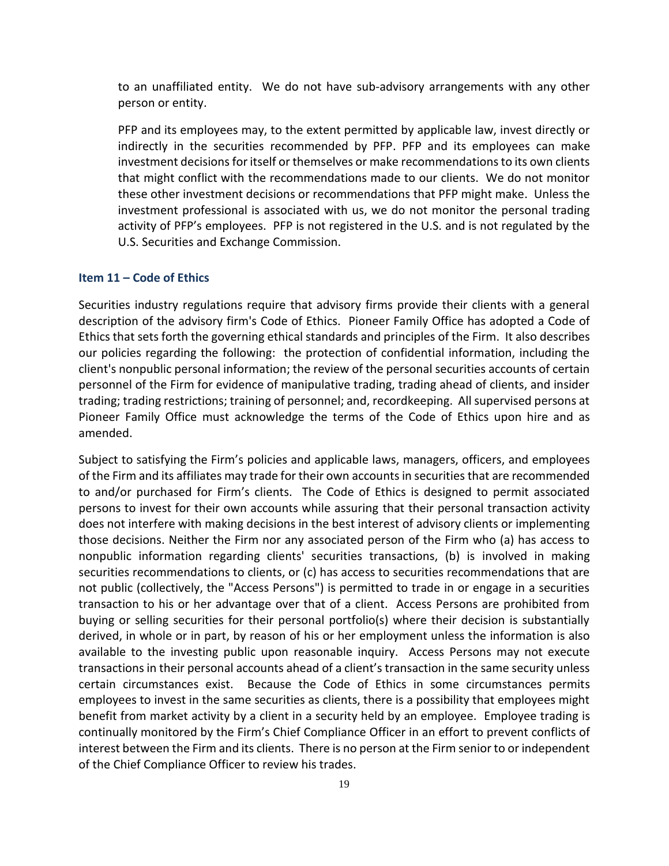to an unaffiliated entity. We do not have sub-advisory arrangements with any other person or entity.

PFP and its employees may, to the extent permitted by applicable law, invest directly or indirectly in the securities recommended by PFP. PFP and its employees can make investment decisions for itself or themselves or make recommendations to its own clients that might conflict with the recommendations made to our clients. We do not monitor these other investment decisions or recommendations that PFP might make. Unless the investment professional is associated with us, we do not monitor the personal trading activity of PFP's employees. PFP is not registered in the U.S. and is not regulated by the U.S. Securities and Exchange Commission.

### **Item 11 – Code of Ethics**

Securities industry regulations require that advisory firms provide their clients with a general description of the advisory firm's Code of Ethics. Pioneer Family Office has adopted a Code of Ethics that sets forth the governing ethical standards and principles of the Firm. It also describes our policies regarding the following: the protection of confidential information, including the client's nonpublic personal information; the review of the personal securities accounts of certain personnel of the Firm for evidence of manipulative trading, trading ahead of clients, and insider trading; trading restrictions; training of personnel; and, recordkeeping. All supervised persons at Pioneer Family Office must acknowledge the terms of the Code of Ethics upon hire and as amended.

Subject to satisfying the Firm's policies and applicable laws, managers, officers, and employees of the Firm and its affiliates may trade for their own accounts in securities that are recommended to and/or purchased for Firm's clients. The Code of Ethics is designed to permit associated persons to invest for their own accounts while assuring that their personal transaction activity does not interfere with making decisions in the best interest of advisory clients or implementing those decisions. Neither the Firm nor any associated person of the Firm who (a) has access to nonpublic information regarding clients' securities transactions, (b) is involved in making securities recommendations to clients, or (c) has access to securities recommendations that are not public (collectively, the "Access Persons") is permitted to trade in or engage in a securities transaction to his or her advantage over that of a client. Access Persons are prohibited from buying or selling securities for their personal portfolio(s) where their decision is substantially derived, in whole or in part, by reason of his or her employment unless the information is also available to the investing public upon reasonable inquiry. Access Persons may not execute transactions in their personal accounts ahead of a client's transaction in the same security unless certain circumstances exist. Because the Code of Ethics in some circumstances permits employees to invest in the same securities as clients, there is a possibility that employees might benefit from market activity by a client in a security held by an employee. Employee trading is continually monitored by the Firm's Chief Compliance Officer in an effort to prevent conflicts of interest between the Firm and its clients. There is no person at the Firm senior to or independent of the Chief Compliance Officer to review his trades.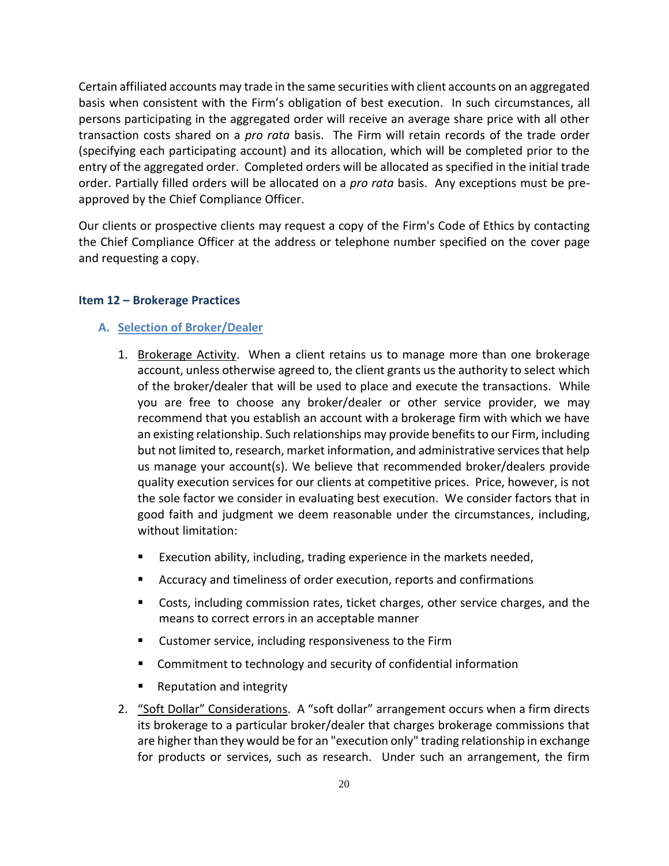Certain affiliated accounts may trade in the same securities with client accounts on an aggregated basis when consistent with the Firm's obligation of best execution. In such circumstances, all persons participating in the aggregated order will receive an average share price with all other transaction costs shared on a *pro rata* basis. The Firm will retain records of the trade order (specifying each participating account) and its allocation, which will be completed prior to the entry of the aggregated order. Completed orders will be allocated as specified in the initial trade order. Partially filled orders will be allocated on a *pro rata* basis. Any exceptions must be preapproved by the Chief Compliance Officer.

Our clients or prospective clients may request a copy of the Firm's Code of Ethics by contacting the Chief Compliance Officer at the address or telephone number specified on the cover page and requesting a copy.

#### **Item 12 – Brokerage Practices**

#### **A. Selection of Broker/Dealer**

- 1. Brokerage Activity. When a client retains us to manage more than one brokerage account, unless otherwise agreed to, the client grants us the authority to select which of the broker/dealer that will be used to place and execute the transactions. While you are free to choose any broker/dealer or other service provider, we may recommend that you establish an account with a brokerage firm with which we have an existing relationship. Such relationships may provide benefits to our Firm, including but not limited to, research, market information, and administrative services that help us manage your account(s). We believe that recommended broker/dealers provide quality execution services for our clients at competitive prices. Price, however, is not the sole factor we consider in evaluating best execution. We consider factors that in good faith and judgment we deem reasonable under the circumstances, including, without limitation:
	- Execution ability, including, trading experience in the markets needed,
	- Accuracy and timeliness of order execution, reports and confirmations
	- Costs, including commission rates, ticket charges, other service charges, and the means to correct errors in an acceptable manner
	- Customer service, including responsiveness to the Firm
	- Commitment to technology and security of confidential information
	- **Reputation and integrity**
- 2. "Soft Dollar" Considerations. A "soft dollar" arrangement occurs when a firm directs its brokerage to a particular broker/dealer that charges brokerage commissions that are higher than they would be for an "execution only" trading relationship in exchange for products or services, such as research. Under such an arrangement, the firm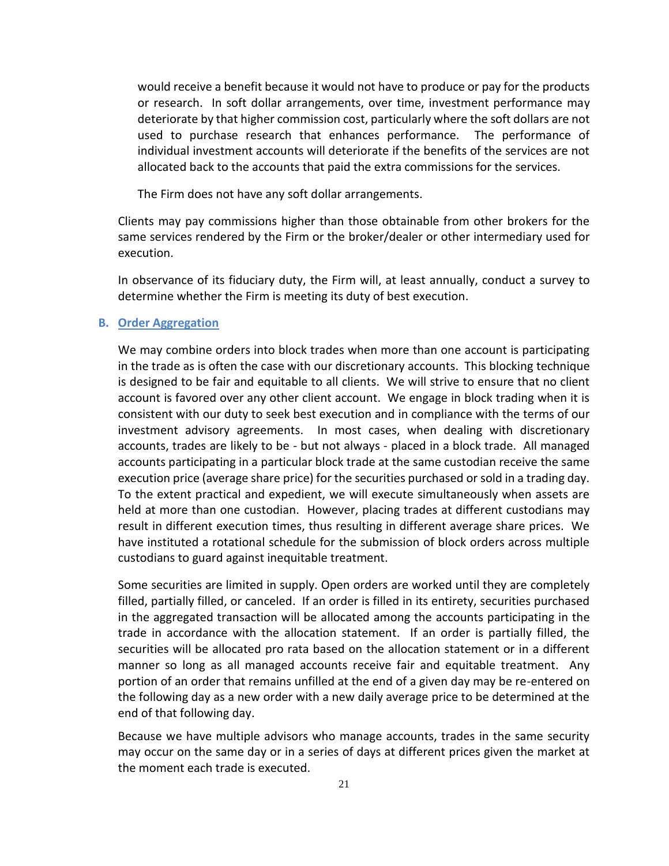would receive a benefit because it would not have to produce or pay for the products or research. In soft dollar arrangements, over time, investment performance may deteriorate by that higher commission cost, particularly where the soft dollars are not used to purchase research that enhances performance. The performance of individual investment accounts will deteriorate if the benefits of the services are not allocated back to the accounts that paid the extra commissions for the services.

The Firm does not have any soft dollar arrangements.

Clients may pay commissions higher than those obtainable from other brokers for the same services rendered by the Firm or the broker/dealer or other intermediary used for execution.

In observance of its fiduciary duty, the Firm will, at least annually, conduct a survey to determine whether the Firm is meeting its duty of best execution.

#### **B. Order Aggregation**

We may combine orders into block trades when more than one account is participating in the trade as is often the case with our discretionary accounts. This blocking technique is designed to be fair and equitable to all clients. We will strive to ensure that no client account is favored over any other client account. We engage in block trading when it is consistent with our duty to seek best execution and in compliance with the terms of our investment advisory agreements. In most cases, when dealing with discretionary accounts, trades are likely to be - but not always - placed in a block trade. All managed accounts participating in a particular block trade at the same custodian receive the same execution price (average share price) for the securities purchased or sold in a trading day. To the extent practical and expedient, we will execute simultaneously when assets are held at more than one custodian. However, placing trades at different custodians may result in different execution times, thus resulting in different average share prices. We have instituted a rotational schedule for the submission of block orders across multiple custodians to guard against inequitable treatment.

Some securities are limited in supply. Open orders are worked until they are completely filled, partially filled, or canceled. If an order is filled in its entirety, securities purchased in the aggregated transaction will be allocated among the accounts participating in the trade in accordance with the allocation statement. If an order is partially filled, the securities will be allocated pro rata based on the allocation statement or in a different manner so long as all managed accounts receive fair and equitable treatment. Any portion of an order that remains unfilled at the end of a given day may be re-entered on the following day as a new order with a new daily average price to be determined at the end of that following day.

Because we have multiple advisors who manage accounts, trades in the same security may occur on the same day or in a series of days at different prices given the market at the moment each trade is executed.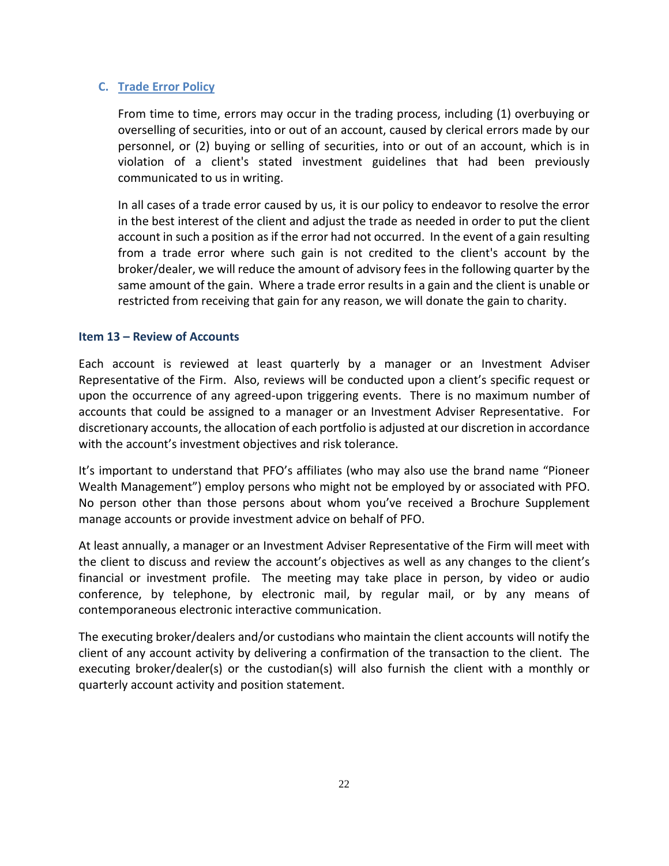# **C. Trade Error Policy**

From time to time, errors may occur in the trading process, including (1) overbuying or overselling of securities, into or out of an account, caused by clerical errors made by our personnel, or (2) buying or selling of securities, into or out of an account, which is in violation of a client's stated investment guidelines that had been previously communicated to us in writing.

In all cases of a trade error caused by us, it is our policy to endeavor to resolve the error in the best interest of the client and adjust the trade as needed in order to put the client account in such a position as if the error had not occurred. In the event of a gain resulting from a trade error where such gain is not credited to the client's account by the broker/dealer, we will reduce the amount of advisory fees in the following quarter by the same amount of the gain. Where a trade error results in a gain and the client is unable or restricted from receiving that gain for any reason, we will donate the gain to charity.

# **Item 13 – Review of Accounts**

Each account is reviewed at least quarterly by a manager or an Investment Adviser Representative of the Firm. Also, reviews will be conducted upon a client's specific request or upon the occurrence of any agreed-upon triggering events. There is no maximum number of accounts that could be assigned to a manager or an Investment Adviser Representative. For discretionary accounts, the allocation of each portfolio is adjusted at our discretion in accordance with the account's investment objectives and risk tolerance.

It's important to understand that PFO's affiliates (who may also use the brand name "Pioneer Wealth Management") employ persons who might not be employed by or associated with PFO. No person other than those persons about whom you've received a Brochure Supplement manage accounts or provide investment advice on behalf of PFO.

At least annually, a manager or an Investment Adviser Representative of the Firm will meet with the client to discuss and review the account's objectives as well as any changes to the client's financial or investment profile. The meeting may take place in person, by video or audio conference, by telephone, by electronic mail, by regular mail, or by any means of contemporaneous electronic interactive communication.

The executing broker/dealers and/or custodians who maintain the client accounts will notify the client of any account activity by delivering a confirmation of the transaction to the client. The executing broker/dealer(s) or the custodian(s) will also furnish the client with a monthly or quarterly account activity and position statement.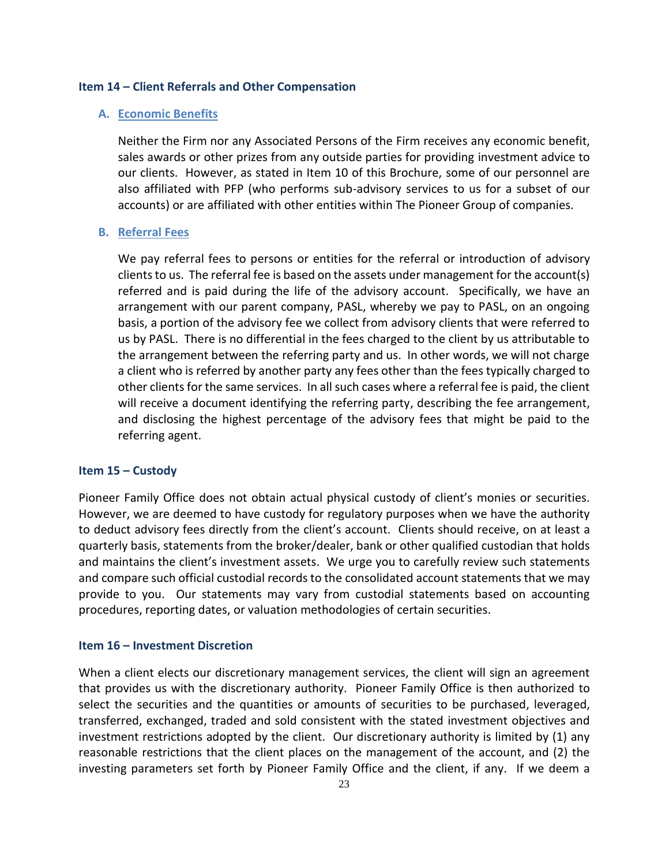#### **Item 14 – Client Referrals and Other Compensation**

# **A. Economic Benefits**

Neither the Firm nor any Associated Persons of the Firm receives any economic benefit, sales awards or other prizes from any outside parties for providing investment advice to our clients. However, as stated in Item 10 of this Brochure, some of our personnel are also affiliated with PFP (who performs sub-advisory services to us for a subset of our accounts) or are affiliated with other entities within The Pioneer Group of companies.

#### **B. Referral Fees**

We pay referral fees to persons or entities for the referral or introduction of advisory clients to us. The referral fee is based on the assets under management for the account(s) referred and is paid during the life of the advisory account. Specifically, we have an arrangement with our parent company, PASL, whereby we pay to PASL, on an ongoing basis, a portion of the advisory fee we collect from advisory clients that were referred to us by PASL. There is no differential in the fees charged to the client by us attributable to the arrangement between the referring party and us. In other words, we will not charge a client who is referred by another party any fees other than the fees typically charged to other clients for the same services. In all such cases where a referral fee is paid, the client will receive a document identifying the referring party, describing the fee arrangement, and disclosing the highest percentage of the advisory fees that might be paid to the referring agent.

#### **Item 15 – Custody**

Pioneer Family Office does not obtain actual physical custody of client's monies or securities. However, we are deemed to have custody for regulatory purposes when we have the authority to deduct advisory fees directly from the client's account. Clients should receive, on at least a quarterly basis, statements from the broker/dealer, bank or other qualified custodian that holds and maintains the client's investment assets. We urge you to carefully review such statements and compare such official custodial records to the consolidated account statements that we may provide to you. Our statements may vary from custodial statements based on accounting procedures, reporting dates, or valuation methodologies of certain securities.

#### **Item 16 – Investment Discretion**

When a client elects our discretionary management services, the client will sign an agreement that provides us with the discretionary authority. Pioneer Family Office is then authorized to select the securities and the quantities or amounts of securities to be purchased, leveraged, transferred, exchanged, traded and sold consistent with the stated investment objectives and investment restrictions adopted by the client. Our discretionary authority is limited by (1) any reasonable restrictions that the client places on the management of the account, and (2) the investing parameters set forth by Pioneer Family Office and the client, if any. If we deem a